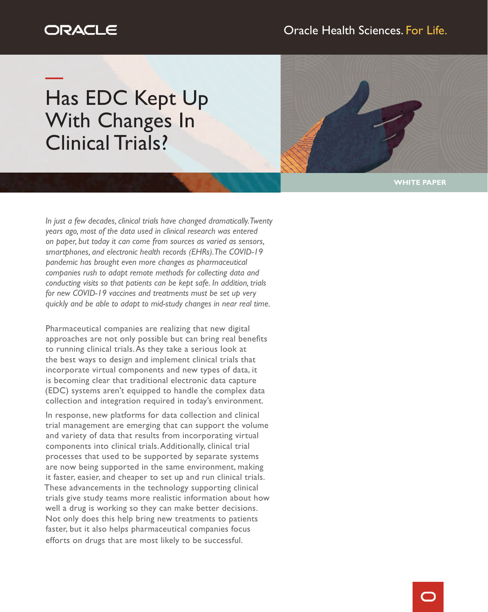# ORACLE

## Oracle Health Sciences. For Life.

Has EDC Kept Up With Changes In Clinical Trials?



**WHITE PAPER**

*In just a few decades, clinical trials have changed dramatically. Twenty years ago, most of the data used in clinical research was entered on paper, but today it can come from sources as varied as sensors, smartphones, and electronic health records (EHRs). The COVID-19 pandemic has brought even more changes as pharmaceutical companies rush to adapt remote methods for collecting data and conducting visits so that patients can be kept safe. In addition, trials for new COVID-19 vaccines and treatments must be set up very quickly and be able to adapt to mid-study changes in near real time.*

Pharmaceutical companies are realizing that new digital approaches are not only possible but can bring real benefits to running clinical trials. As they take a serious look at the best ways to design and implement clinical trials that incorporate virtual components and new types of data, it is becoming clear that traditional electronic data capture (EDC) systems aren't equipped to handle the complex data collection and integration required in today's environment.

In response, new platforms for data collection and clinical trial management are emerging that can support the volume and variety of data that results from incorporating virtual components into clinical trials. Additionally, clinical trial processes that used to be supported by separate systems are now being supported in the same environment, making it faster, easier, and cheaper to set up and run clinical trials. These advancements in the technology supporting clinical trials give study teams more realistic information about how well a drug is working so they can make better decisions. Not only does this help bring new treatments to patients faster, but it also helps pharmaceutical companies focus efforts on drugs that are most likely to be successful.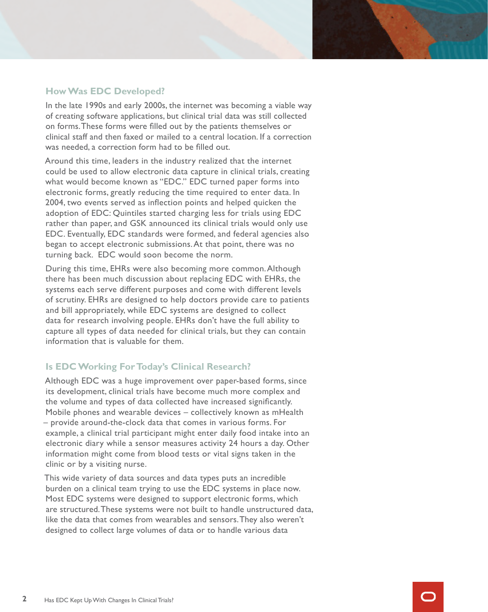#### **How Was EDC Developed?**

In the late 1990s and early 2000s, the internet was becoming a viable way of creating software applications, but clinical trial data was still collected on forms. These forms were filled out by the patients themselves or clinical staff and then faxed or mailed to a central location. If a correction was needed, a correction form had to be filled out.

Around this time, leaders in the industry realized that the internet could be used to allow electronic data capture in clinical trials, creating what would become known as "EDC." EDC turned paper forms into electronic forms, greatly reducing the time required to enter data. In 2004, two events served as inflection points and helped quicken the adoption of EDC: Quintiles started charging less for trials using EDC rather than paper, and GSK announced its clinical trials would only use EDC. Eventually, EDC standards were formed, and federal agencies also began to accept electronic submissions. At that point, there was no turning back. EDC would soon become the norm.

During this time, EHRs were also becoming more common. Although there has been much discussion about replacing EDC with EHRs, the systems each serve different purposes and come with different levels of scrutiny. EHRs are designed to help doctors provide care to patients and bill appropriately, while EDC systems are designed to collect data for research involving people. EHRs don't have the full ability to capture all types of data needed for clinical trials, but they can contain information that is valuable for them.

### **Is EDC Working For Today's Clinical Research?**

Although EDC was a huge improvement over paper-based forms, since its development, clinical trials have become much more complex and the volume and types of data collected have increased significantly. Mobile phones and wearable devices – collectively known as mHealth – provide around-the-clock data that comes in various forms. For example, a clinical trial participant might enter daily food intake into an electronic diary while a sensor measures activity 24 hours a day. Other information might come from blood tests or vital signs taken in the clinic or by a visiting nurse.

This wide variety of data sources and data types puts an incredible burden on a clinical team trying to use the EDC systems in place now. Most EDC systems were designed to support electronic forms, which are structured. These systems were not built to handle unstructured data, like the data that comes from wearables and sensors. They also weren't designed to collect large volumes of data or to handle various data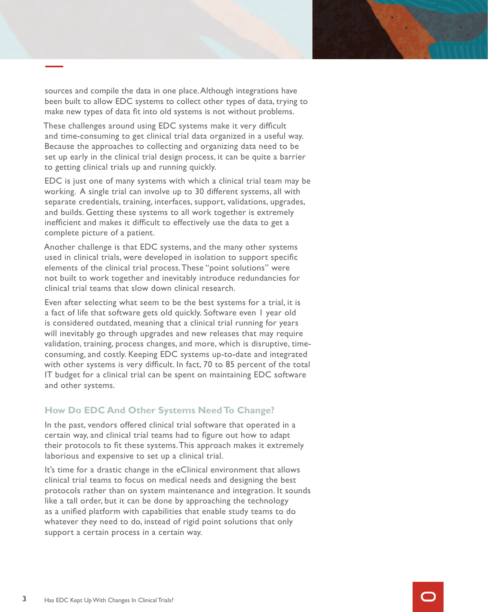sources and compile the data in one place. Although integrations have been built to allow EDC systems to collect other types of data, trying to make new types of data fit into old systems is not without problems.

These challenges around using EDC systems make it very difficult and time-consuming to get clinical trial data organized in a useful way. Because the approaches to collecting and organizing data need to be set up early in the clinical trial design process, it can be quite a barrier to getting clinical trials up and running quickly.

EDC is just one of many systems with which a clinical trial team may be working. A single trial can involve up to 30 different systems, all with separate credentials, training, interfaces, support, validations, upgrades, and builds. Getting these systems to all work together is extremely inefficient and makes it difficult to effectively use the data to get a complete picture of a patient.

Another challenge is that EDC systems, and the many other systems used in clinical trials, were developed in isolation to support specific elements of the clinical trial process. These "point solutions" were not built to work together and inevitably introduce redundancies for clinical trial teams that slow down clinical research.

Even after selecting what seem to be the best systems for a trial, it is a fact of life that software gets old quickly. Software even 1 year old is considered outdated, meaning that a clinical trial running for years will inevitably go through upgrades and new releases that may require validation, training, process changes, and more, which is disruptive, timeconsuming, and costly. Keeping EDC systems up-to-date and integrated with other systems is very difficult. In fact, 70 to 85 percent of the total IT budget for a clinical trial can be spent on maintaining EDC software and other systems.

### **How Do EDC And Other Systems Need To Change?**

In the past, vendors offered clinical trial software that operated in a certain way, and clinical trial teams had to figure out how to adapt their protocols to fit these systems. This approach makes it extremely laborious and expensive to set up a clinical trial.

It's time for a drastic change in the eClinical environment that allows clinical trial teams to focus on medical needs and designing the best protocols rather than on system maintenance and integration. It sounds like a tall order, but it can be done by approaching the technology as a unified platform with capabilities that enable study teams to do whatever they need to do, instead of rigid point solutions that only support a certain process in a certain way.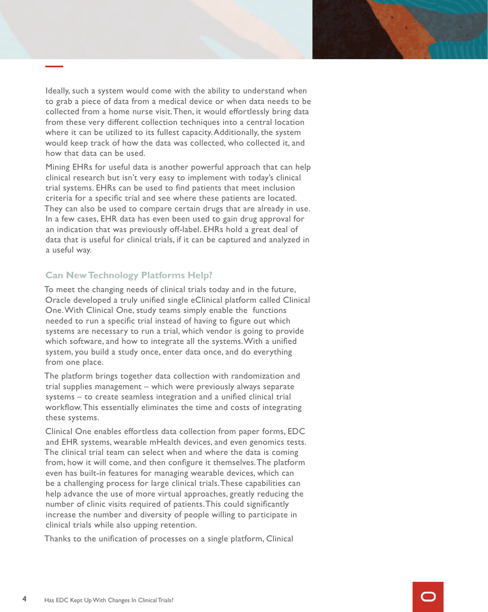Ideally, such a system would come with the ability to understand when to grab a piece of data from a medical device or when data needs to be collected from a home nurse visit. Then, it would effortlessly bring data from these very different collection techniques into a central location where it can be utilized to its fullest capacity. Additionally, the system would keep track of how the data was collected, who collected it, and how that data can be used.

Mining EHRs for useful data is another powerful approach that can help clinical research but isn't very easy to implement with today's clinical trial systems. EHRs can be used to find patients that meet inclusion criteria for a specific trial and see where these patients are located. They can also be used to compare certain drugs that are already in use. In a few cases, EHR data has even been used to gain drug approval for an indication that was previously off-label. EHRs hold a great deal of data that is useful for clinical trials, if it can be captured and analyzed in a useful way.

### **Can New Technology Platforms Help?**

To meet the changing needs of clinical trials today and in the future, Oracle developed a truly unified single eClinical platform called Clinical One. With Clinical One, study teams simply enable the functions needed to run a specific trial instead of having to figure out which systems are necessary to run a trial, which vendor is going to provide which software, and how to integrate all the systems. With a unified system, you build a study once, enter data once, and do everything from one place.

The platform brings together data collection with randomization and trial supplies management – which were previously always separate systems – to create seamless integration and a unified clinical trial workflow. This essentially eliminates the time and costs of integrating these systems.

Clinical One enables effortless data collection from paper forms, EDC and EHR systems, wearable mHealth devices, and even genomics tests. The clinical trial team can select when and where the data is coming from, how it will come, and then configure it themselves. The platform even has built-in features for managing wearable devices, which can be a challenging process for large clinical trials. These capabilities can help advance the use of more virtual approaches, greatly reducing the number of clinic visits required of patients. This could significantly increase the number and diversity of people willing to participate in clinical trials while also upping retention.

Thanks to the unification of processes on a single platform, Clinical